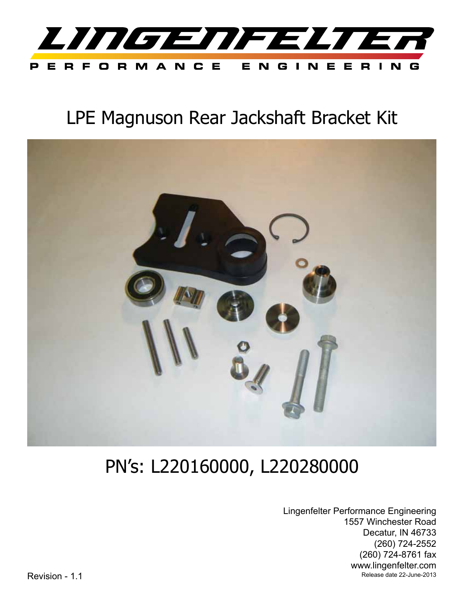

## LPE Magnuson Rear Jackshaft Bracket Kit



# PN's: L220160000, L220280000

Lingenfelter Performance Engineering 1557 Winchester Road Decatur, IN 46733 (260) 724-2552 (260) 724-8761 fax www.lingenfelter.com Revision - 1.1 Revision - 1.1 Release date 22-June-2013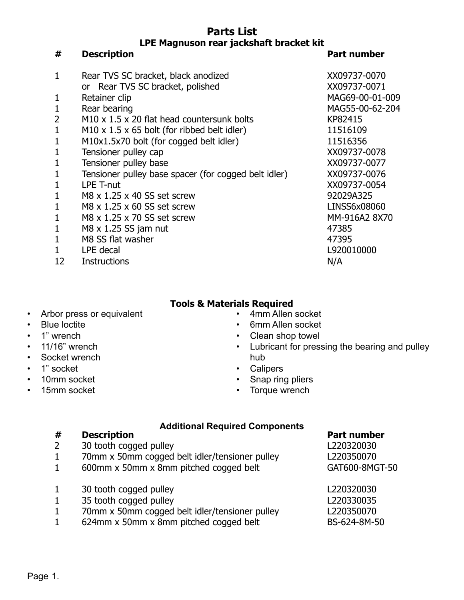### **Parts List LPE Magnuson rear jackshaft bracket kit**

**# Description Part number**

| 1              | Rear TVS SC bracket, black anodized                       | XX09737-0070    |
|----------------|-----------------------------------------------------------|-----------------|
|                | or Rear TVS SC bracket, polished                          | XX09737-0071    |
| 1              | Retainer clip                                             | MAG69-00-01-009 |
| 1              | Rear bearing                                              | MAG55-00-62-204 |
| $\overline{2}$ | M10 x 1.5 x 20 flat head countersunk bolts                | KP82415         |
| $\mathbf{1}$   | M10 $\times$ 1.5 $\times$ 65 bolt (for ribbed belt idler) | 11516109        |
| 1              | M10x1.5x70 bolt (for cogged belt idler)                   | 11516356        |
| $\mathbf{1}$   | Tensioner pulley cap                                      | XX09737-0078    |
| $\mathbf{1}$   | Tensioner pulley base                                     | XX09737-0077    |
| 1              | Tensioner pulley base spacer (for cogged belt idler)      | XX09737-0076    |
| 1              | LPE T-nut                                                 | XX09737-0054    |
| $\mathbf{1}$   | M8 x 1.25 x 40 SS set screw                               | 92029A325       |
| $\mathbf{1}$   | M8 x 1.25 x 60 SS set screw                               | LINSS6x08060    |
| 1              | M8 x 1.25 x 70 SS set screw                               | MM-916A2 8X70   |
| 1              | $M8 \times 1.25$ SS jam nut                               | 47385           |
| 1              | M8 SS flat washer                                         | 47395           |
| 1              | LPE decal                                                 | L920010000      |
| 12             | <b>Instructions</b>                                       | N/A             |

### **Tools & Materials Required**

- Arbor press or equivalent
- Blue loctite
- 1" wrench
- 11/16" wrench
- Socket wrench
- 1" socket
- 10mm socket
- 15mm socket
- 4mm Allen socket
	- 6mm Allen socket
	- Clean shop towel
	- Lubricant for pressing the bearing and pulley hub
	- Calipers
	- Snap ring pliers
	- Torque wrench

### **Additional Required Components**

- 2 30 tooth cogged pulley L220320030
- 1 70mm x 50mm cogged belt idler/tensioner pulley L220350070
- 1 600mm x 50mm x 8mm pitched cogged belt GAT600-8MGT-50
- 1 30 tooth cogged pulley L220320030
- 1 35 tooth cogged pulley L220330035
- 1 70mm x 50mm cogged belt idler/tensioner pulley L220350070
- 1 624mm x 50mm x 8mm pitched cogged belt BS-624-8M-50

**# Description Part number**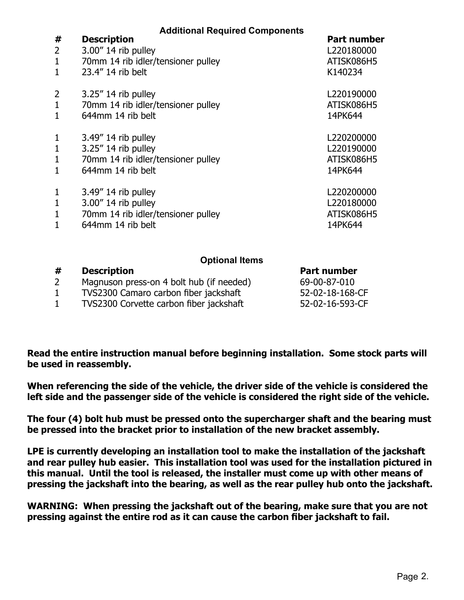| #<br>2<br>$\mathbf{1}$<br>$\mathbf{1}$ | <b>Additional Required Components</b><br><b>Description</b><br>3.00" 14 rib pulley<br>70mm 14 rib idler/tensioner pulley<br>23.4" 14 rib belt | <b>Part number</b><br>L220180000<br>ATISK086H5<br>K140234 |
|----------------------------------------|-----------------------------------------------------------------------------------------------------------------------------------------------|-----------------------------------------------------------|
| 2<br>$\mathbf{1}$                      | $3.25''$ 14 rib pulley<br>70mm 14 rib idler/tensioner pulley<br>644mm 14 rib belt                                                             | L220190000<br>ATISK086H5<br>14PK644                       |
| 1<br>$\mathbf{1}$                      | $3.49''$ 14 rib pulley<br>$3.25''$ 14 rib pulley<br>70mm 14 rib idler/tensioner pulley<br>644mm 14 rib belt                                   | L220200000<br>L220190000<br>ATISK086H5<br>14PK644         |
| 1<br>$\mathbf{1}$<br>1                 | $3.49''$ 14 rib pulley<br>$3.00''$ 14 rib pulley<br>70mm 14 rib idler/tensioner pulley<br>644mm 14 rib belt                                   | L220200000<br>L220180000<br>ATISK086H5<br>14PK644         |
|                                        | <b>Optional Items</b>                                                                                                                         |                                                           |

| #              | <b>Description</b>                       | Part number     |
|----------------|------------------------------------------|-----------------|
| 2 <sup>1</sup> | Magnuson press-on 4 bolt hub (if needed) | 69-00-87-010    |
|                | TVS2300 Camaro carbon fiber jackshaft    | 52-02-18-168-CF |
|                | TVS2300 Corvette carbon fiber jackshaft  | 52-02-16-593-CF |

**Read the entire instruction manual before beginning installation. Some stock parts will be used in reassembly.**

**When referencing the side of the vehicle, the driver side of the vehicle is considered the left side and the passenger side of the vehicle is considered the right side of the vehicle.** 

**The four (4) bolt hub must be pressed onto the supercharger shaft and the bearing must be pressed into the bracket prior to installation of the new bracket assembly.**

**LPE is currently developing an installation tool to make the installation of the jackshaft and rear pulley hub easier. This installation tool was used for the installation pictured in this manual. Until the tool is released, the installer must come up with other means of pressing the jackshaft into the bearing, as well as the rear pulley hub onto the jackshaft.**

**WARNING: When pressing the jackshaft out of the bearing, make sure that you are not pressing against the entire rod as it can cause the carbon fiber jackshaft to fail.**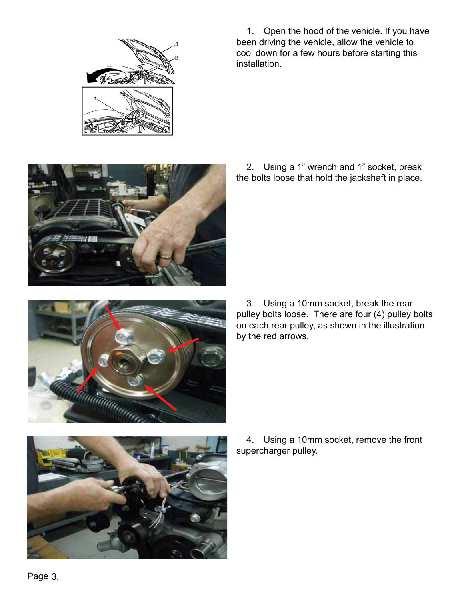

1. Open the hood of the vehicle. If you have been driving the vehicle, allow the vehicle to cool down for a few hours before starting this installation.



2. Using a 1" wrench and 1" socket, break the bolts loose that hold the jackshaft in place.



3. Using a 10mm socket, break the rear pulley bolts loose. There are four (4) pulley bolts on each rear pulley, as shown in the illustration by the red arrows.



4. Using a 10mm socket, remove the front supercharger pulley.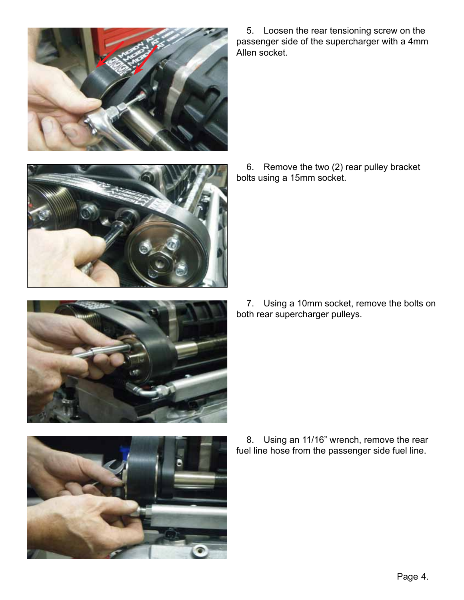

5. Loosen the rear tensioning screw on the passenger side of the supercharger with a 4mm Allen socket.









8. Using an 11/16" wrench, remove the rear fuel line hose from the passenger side fuel line.

6. Remove the two (2) rear pulley bracket bolts using a 15mm socket.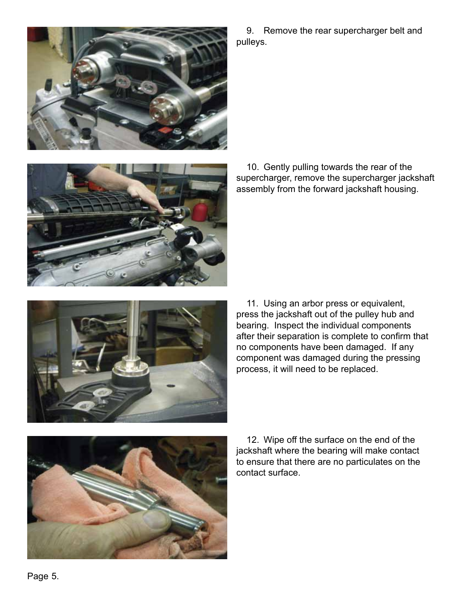

9. Remove the rear supercharger belt and pulleys.



10. Gently pulling towards the rear of the supercharger, remove the supercharger jackshaft assembly from the forward jackshaft housing.



11. Using an arbor press or equivalent, press the jackshaft out of the pulley hub and bearing. Inspect the individual components after their separation is complete to confirm that no components have been damaged. If any component was damaged during the pressing process, it will need to be replaced.



12. Wipe off the surface on the end of the jackshaft where the bearing will make contact to ensure that there are no particulates on the contact surface.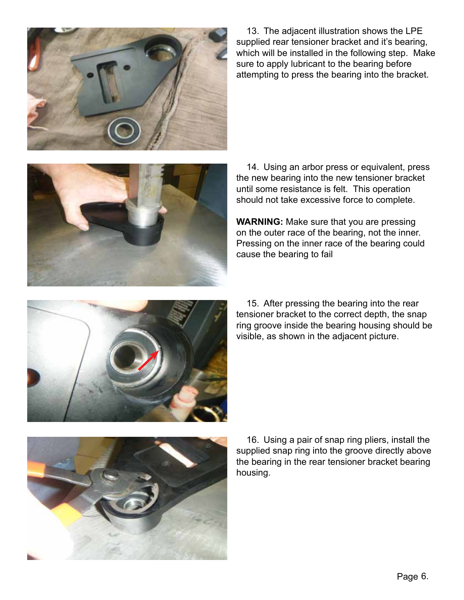

13. The adjacent illustration shows the LPE supplied rear tensioner bracket and it's bearing, which will be installed in the following step. Make sure to apply lubricant to the bearing before attempting to press the bearing into the bracket.



14. Using an arbor press or equivalent, press the new bearing into the new tensioner bracket until some resistance is felt. This operation should not take excessive force to complete.

**WARNING:** Make sure that you are pressing on the outer race of the bearing, not the inner. Pressing on the inner race of the bearing could cause the bearing to fail



15. After pressing the bearing into the rear tensioner bracket to the correct depth, the snap ring groove inside the bearing housing should be visible, as shown in the adjacent picture.



16. Using a pair of snap ring pliers, install the supplied snap ring into the groove directly above the bearing in the rear tensioner bracket bearing housing.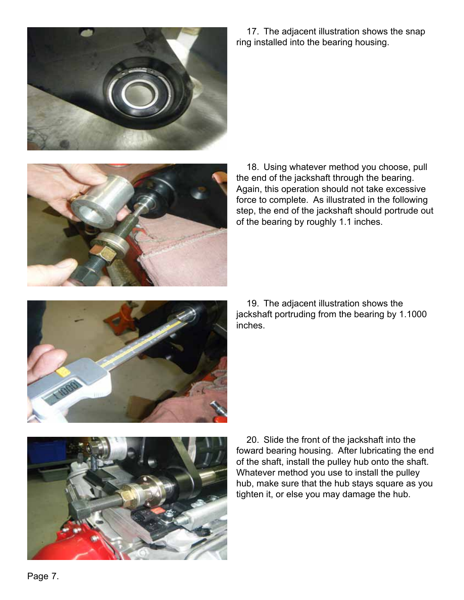

17. The adjacent illustration shows the snap ring installed into the bearing housing.



18. Using whatever method you choose, pull the end of the jackshaft through the bearing. Again, this operation should not take excessive force to complete. As illustrated in the following step, the end of the jackshaft should portrude out of the bearing by roughly 1.1 inches.



19. The adjacent illustration shows the jackshaft portruding from the bearing by 1.1000 inches.



20. Slide the front of the jackshaft into the foward bearing housing. After lubricating the end of the shaft, install the pulley hub onto the shaft. Whatever method you use to install the pulley hub, make sure that the hub stays square as you tighten it, or else you may damage the hub.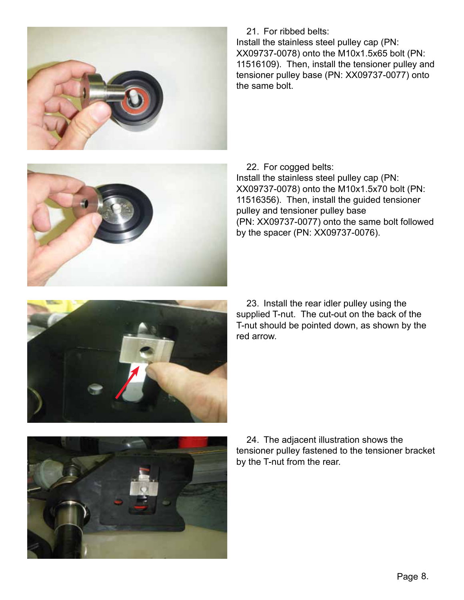

21. For ribbed belts:

Install the stainless steel pulley cap (PN: XX09737-0078) onto the M10x1.5x65 bolt (PN: 11516109). Then, install the tensioner pulley and tensioner pulley base (PN: XX09737-0077) onto the same bolt.

22. For cogged belts: Install the stainless steel pulley cap (PN: XX09737-0078) onto the M10x1.5x70 bolt (PN: 11516356). Then, install the guided tensioner pulley and tensioner pulley base (PN: XX09737-0077) onto the same bolt followed by the spacer (PN: XX09737-0076).



23. Install the rear idler pulley using the supplied T-nut. The cut-out on the back of the T-nut should be pointed down, as shown by the red arrow.



24. The adjacent illustration shows the tensioner pulley fastened to the tensioner bracket by the T-nut from the rear.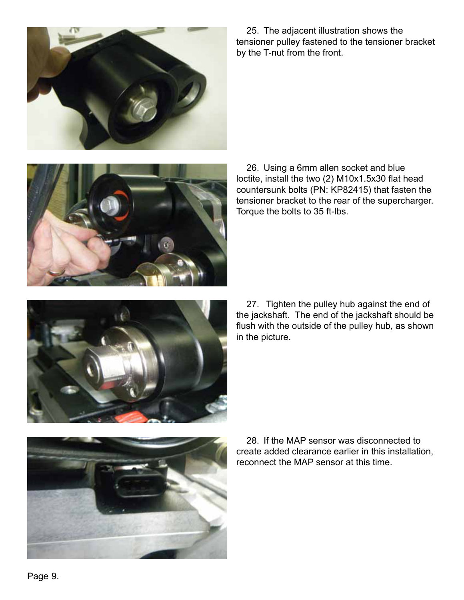

25. The adjacent illustration shows the tensioner pulley fastened to the tensioner bracket by the T-nut from the front.



26. Using a 6mm allen socket and blue loctite, install the two (2) M10x1.5x30 flat head countersunk bolts (PN: KP82415) that fasten the tensioner bracket to the rear of the supercharger. Torque the bolts to 35 ft-lbs.



27. Tighten the pulley hub against the end of the jackshaft. The end of the jackshaft should be flush with the outside of the pulley hub, as shown in the picture.



28. If the MAP sensor was disconnected to create added clearance earlier in this installation, reconnect the MAP sensor at this time.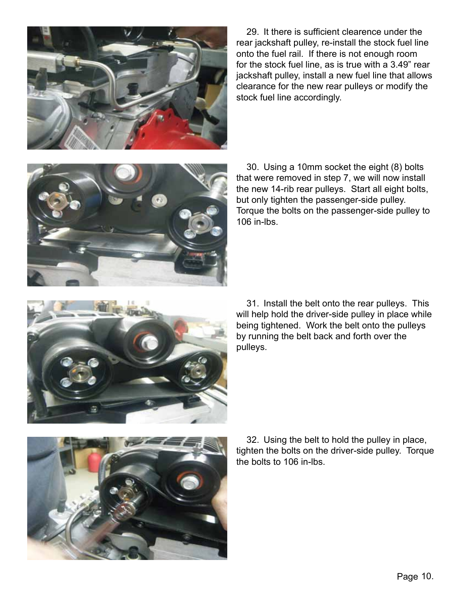

29. It there is sufficient clearence under the rear jackshaft pulley, re-install the stock fuel line onto the fuel rail. If there is not enough room for the stock fuel line, as is true with a 3.49" rear jackshaft pulley, install a new fuel line that allows clearance for the new rear pulleys or modify the stock fuel line accordingly.



30. Using a 10mm socket the eight (8) bolts that were removed in step 7, we will now install the new 14-rib rear pulleys. Start all eight bolts, but only tighten the passenger-side pulley. Torque the bolts on the passenger-side pulley to 106 in-lbs.



31. Install the belt onto the rear pulleys. This will help hold the driver-side pulley in place while being tightened. Work the belt onto the pulleys by running the belt back and forth over the pulleys.



32. Using the belt to hold the pulley in place, tighten the bolts on the driver-side pulley. Torque the bolts to 106 in-lbs.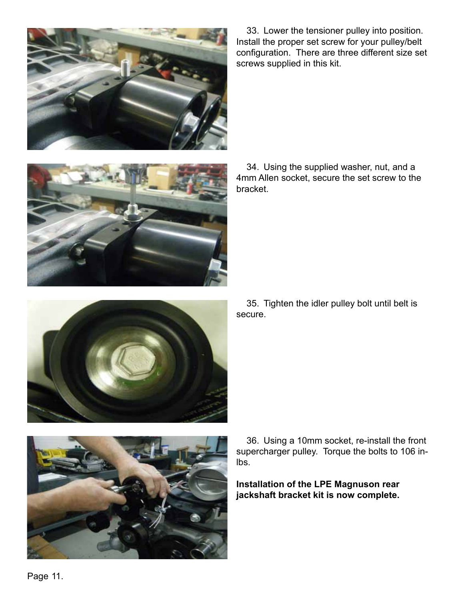

33. Lower the tensioner pulley into position. Install the proper set screw for your pulley/belt configuration. There are three different size set screws supplied in this kit.

34. Using the supplied washer, nut, and a 4mm Allen socket, secure the set screw to the bracket.



35. Tighten the idler pulley bolt until belt is secure.



36. Using a 10mm socket, re-install the front supercharger pulley. Torque the bolts to 106 inlbs.

**Installation of the LPE Magnuson rear jackshaft bracket kit is now complete.**

Page 11.